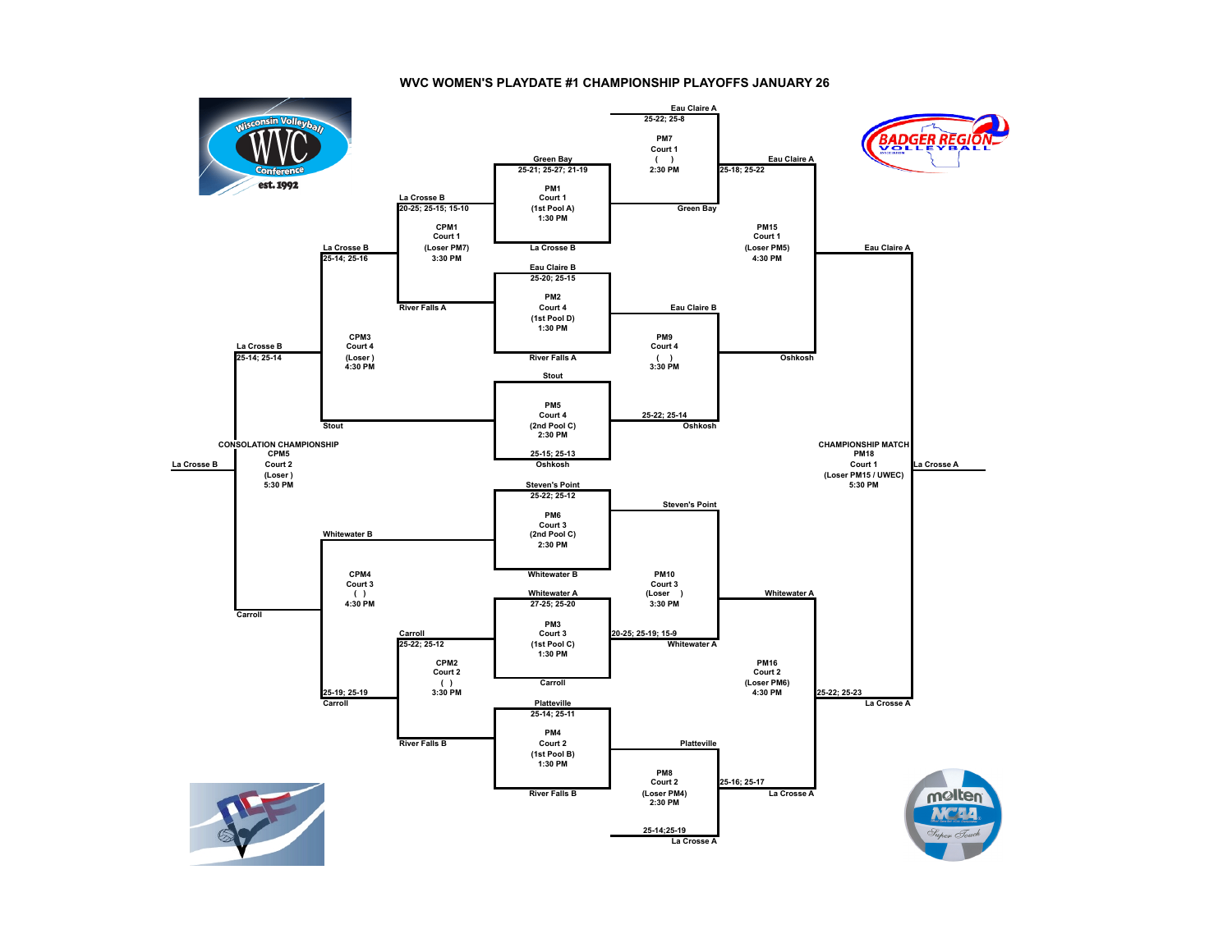## **WVC WOMEN'S PLAYDATE #1 CHAMPIONSHIP PLAYOFFS JANUARY 26**

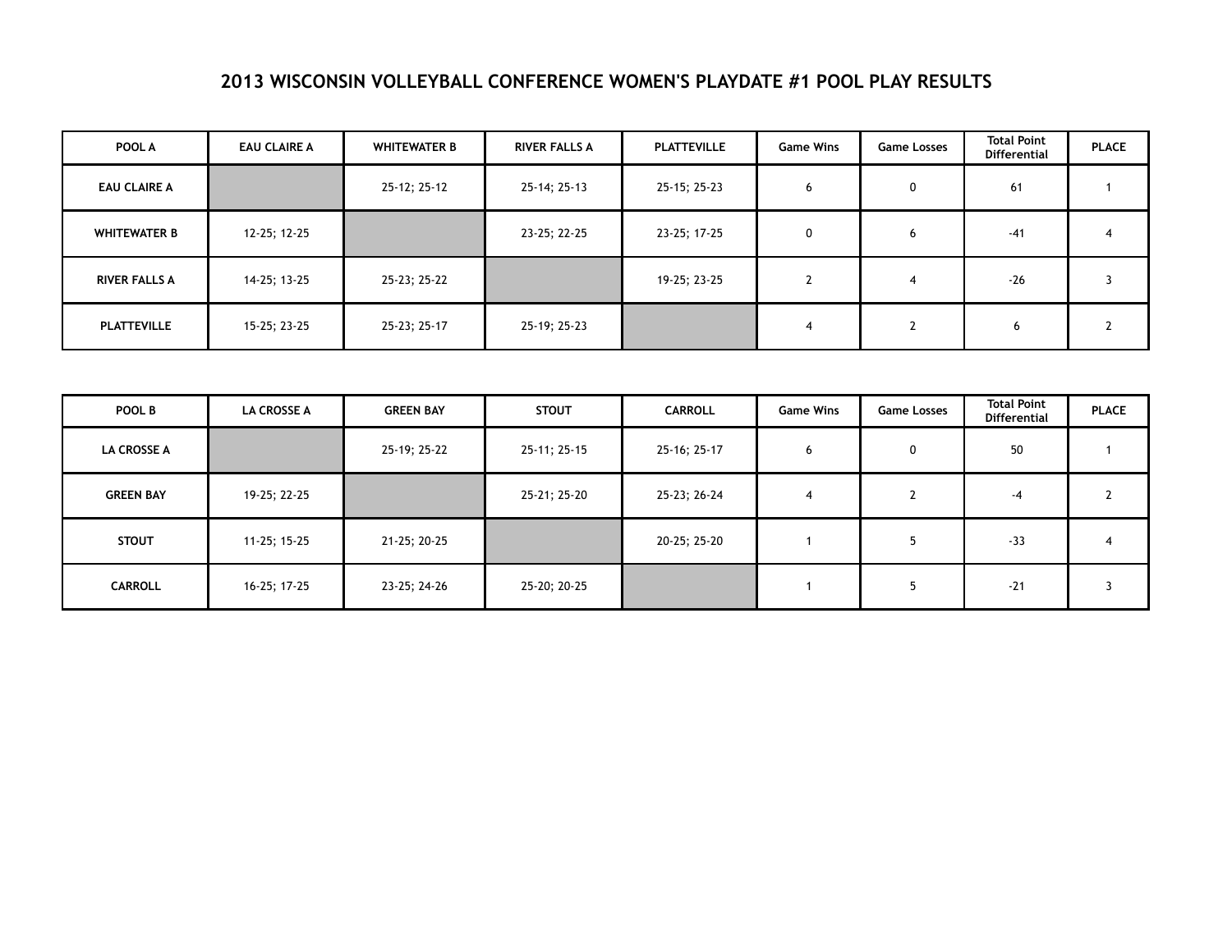## **2013 WISCONSIN VOLLEYBALL CONFERENCE WOMEN'S PLAYDATE #1 POOL PLAY RESULTS**

| POOL A               | <b>EAU CLAIRE A</b> | <b>WHITEWATER B</b> | <b>RIVER FALLS A</b> | <b>PLATTEVILLE</b> | <b>Game Wins</b> | <b>Game Losses</b> | <b>Total Point</b><br><b>Differential</b> | <b>PLACE</b> |
|----------------------|---------------------|---------------------|----------------------|--------------------|------------------|--------------------|-------------------------------------------|--------------|
| <b>EAU CLAIRE A</b>  |                     | 25-12; 25-12        | 25-14; 25-13         | 25-15; 25-23       | 6                | 0                  | 61                                        |              |
| <b>WHITEWATER B</b>  | 12-25; 12-25        |                     | 23-25; 22-25         | 23-25; 17-25       | 0                | O                  | $-41$                                     | 4            |
| <b>RIVER FALLS A</b> | 14-25; 13-25        | 25-23; 25-22        |                      | 19-25; 23-25       | $\overline{ }$   | 4                  | $-26$                                     |              |
| <b>PLATTEVILLE</b>   | 15-25; 23-25        | 25-23; 25-17        | 25-19; 25-23         |                    | 4                | L                  | 6                                         |              |

| POOL B             | <b>LA CROSSE A</b> | <b>GREEN BAY</b> | <b>STOUT</b> | <b>CARROLL</b> | <b>Game Wins</b> | <b>Game Losses</b> | <b>Total Point</b><br><b>Differential</b> | <b>PLACE</b> |
|--------------------|--------------------|------------------|--------------|----------------|------------------|--------------------|-------------------------------------------|--------------|
| <b>LA CROSSE A</b> |                    | 25-19; 25-22     | 25-11; 25-15 | 25-16; 25-17   | 6                | 0                  | 50                                        |              |
| <b>GREEN BAY</b>   | 19-25; 22-25       |                  | 25-21; 25-20 | 25-23; 26-24   | 4                |                    | -4                                        |              |
| <b>STOUT</b>       | 11-25; 15-25       | 21-25; 20-25     |              | 20-25; 25-20   |                  |                    | $-33$                                     |              |
| <b>CARROLL</b>     | 16-25; 17-25       | 23-25; 24-26     | 25-20; 20-25 |                |                  |                    | $-21$                                     |              |